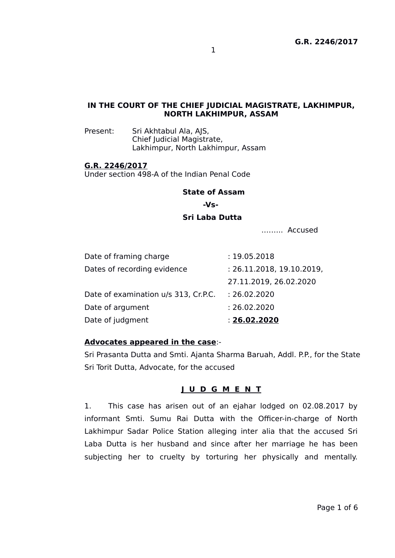### **IN THE COURT OF THE CHIEF JUDICIAL MAGISTRATE, LAKHIMPUR, NORTH LAKHIMPUR, ASSAM**

Present: Sri Akhtabul Ala, AJS, Chief Judicial Magistrate, Lakhimpur, North Lakhimpur, Assam

#### **G.R. 2246/2017**

Under section 498-A of the Indian Penal Code

#### **State of Assam**

 **-Vs-**

#### **Sri Laba Dutta**

.…….. Accused

| Date of judgment                     | : 26.02.2020              |
|--------------------------------------|---------------------------|
| Date of argument                     | : 26.02.2020              |
| Date of examination u/s 313, Cr.P.C. | : 26.02.2020              |
|                                      | 27.11.2019, 26.02.2020    |
| Dates of recording evidence          | : 26.11.2018, 19.10.2019, |
| Date of framing charge               | : 19.05.2018              |

#### **Advocates appeared in the case**:-

Sri Prasanta Dutta and Smti. Ajanta Sharma Baruah, Addl. P.P., for the State Sri Torit Dutta, Advocate, for the accused

### **J U D G M E N T**

1. This case has arisen out of an ejahar lodged on 02.08.2017 by informant Smti. Sumu Rai Dutta with the Officer-in-charge of North Lakhimpur Sadar Police Station alleging inter alia that the accused Sri Laba Dutta is her husband and since after her marriage he has been subjecting her to cruelty by torturing her physically and mentally.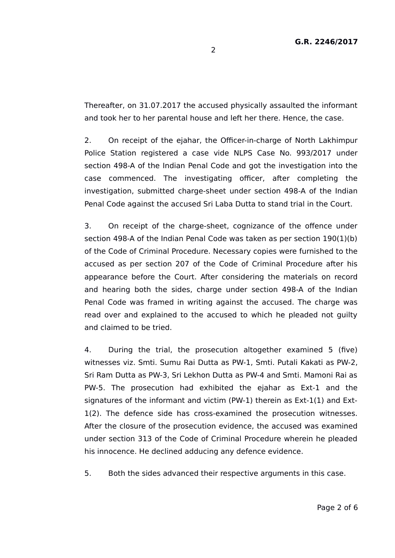Thereafter, on 31.07.2017 the accused physically assaulted the informant and took her to her parental house and left her there. Hence, the case.

2. On receipt of the ejahar, the Officer-in-charge of North Lakhimpur Police Station registered a case vide NLPS Case No. 993/2017 under section 498-A of the Indian Penal Code and got the investigation into the case commenced. The investigating officer, after completing the investigation, submitted charge-sheet under section 498-A of the Indian Penal Code against the accused Sri Laba Dutta to stand trial in the Court.

3. On receipt of the charge-sheet, cognizance of the offence under section 498-A of the Indian Penal Code was taken as per section 190(1)(b) of the Code of Criminal Procedure. Necessary copies were furnished to the accused as per section 207 of the Code of Criminal Procedure after his appearance before the Court. After considering the materials on record and hearing both the sides, charge under section 498-A of the Indian Penal Code was framed in writing against the accused. The charge was read over and explained to the accused to which he pleaded not guilty and claimed to be tried.

4. During the trial, the prosecution altogether examined 5 (five) witnesses viz. Smti. Sumu Rai Dutta as PW-1, Smti. Putali Kakati as PW-2, Sri Ram Dutta as PW-3, Sri Lekhon Dutta as PW-4 and Smti. Mamoni Rai as PW-5. The prosecution had exhibited the ejahar as Ext-1 and the signatures of the informant and victim (PW-1) therein as Ext-1(1) and Ext-1(2). The defence side has cross-examined the prosecution witnesses. After the closure of the prosecution evidence, the accused was examined under section 313 of the Code of Criminal Procedure wherein he pleaded his innocence. He declined adducing any defence evidence.

5. Both the sides advanced their respective arguments in this case.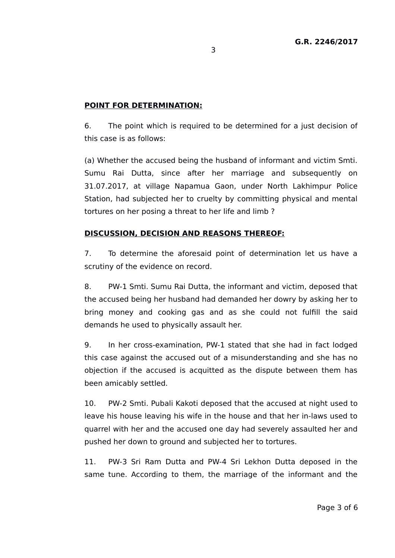# **POINT FOR DETERMINATION:**

6. The point which is required to be determined for a just decision of this case is as follows:

(a) Whether the accused being the husband of informant and victim Smti. Sumu Rai Dutta, since after her marriage and subsequently on 31.07.2017, at village Napamua Gaon, under North Lakhimpur Police Station, had subjected her to cruelty by committing physical and mental tortures on her posing a threat to her life and limb ?

# **DISCUSSION, DECISION AND REASONS THEREOF:**

7. To determine the aforesaid point of determination let us have a scrutiny of the evidence on record.

8. PW-1 Smti. Sumu Rai Dutta, the informant and victim, deposed that the accused being her husband had demanded her dowry by asking her to bring money and cooking gas and as she could not fulfill the said demands he used to physically assault her.

9. In her cross-examination, PW-1 stated that she had in fact lodged this case against the accused out of a misunderstanding and she has no objection if the accused is acquitted as the dispute between them has been amicably settled.

10. PW-2 Smti. Pubali Kakoti deposed that the accused at night used to leave his house leaving his wife in the house and that her in-laws used to quarrel with her and the accused one day had severely assaulted her and pushed her down to ground and subjected her to tortures.

11. PW-3 Sri Ram Dutta and PW-4 Sri Lekhon Dutta deposed in the same tune. According to them, the marriage of the informant and the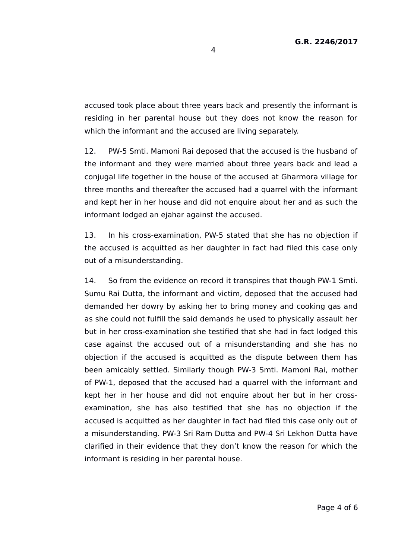accused took place about three years back and presently the informant is residing in her parental house but they does not know the reason for which the informant and the accused are living separately.

12. PW-5 Smti. Mamoni Rai deposed that the accused is the husband of the informant and they were married about three years back and lead a conjugal life together in the house of the accused at Gharmora village for three months and thereafter the accused had a quarrel with the informant and kept her in her house and did not enquire about her and as such the informant lodged an ejahar against the accused.

13. In his cross-examination, PW-5 stated that she has no objection if the accused is acquitted as her daughter in fact had filed this case only out of a misunderstanding.

14. So from the evidence on record it transpires that though PW-1 Smti. Sumu Rai Dutta, the informant and victim, deposed that the accused had demanded her dowry by asking her to bring money and cooking gas and as she could not fulfill the said demands he used to physically assault her but in her cross-examination she testified that she had in fact lodged this case against the accused out of a misunderstanding and she has no objection if the accused is acquitted as the dispute between them has been amicably settled. Similarly though PW-3 Smti. Mamoni Rai, mother of PW-1, deposed that the accused had a quarrel with the informant and kept her in her house and did not enquire about her but in her crossexamination, she has also testified that she has no objection if the accused is acquitted as her daughter in fact had filed this case only out of a misunderstanding. PW-3 Sri Ram Dutta and PW-4 Sri Lekhon Dutta have clarified in their evidence that they don't know the reason for which the informant is residing in her parental house.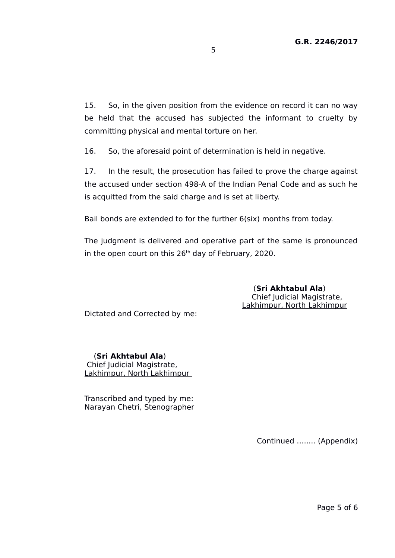15. So, in the given position from the evidence on record it can no way be held that the accused has subjected the informant to cruelty by committing physical and mental torture on her.

16. So, the aforesaid point of determination is held in negative.

17. In the result, the prosecution has failed to prove the charge against the accused under section 498-A of the Indian Penal Code and as such he is acquitted from the said charge and is set at liberty.

Bail bonds are extended to for the further 6(six) months from today.

The judgment is delivered and operative part of the same is pronounced in the open court on this  $26<sup>th</sup>$  day of February, 2020.

> (**Sri Akhtabul Ala**) Chief Judicial Magistrate, Lakhimpur, North Lakhimpur

Dictated and Corrected by me:

 (**Sri Akhtabul Ala**) Chief Judicial Magistrate, Lakhimpur, North Lakhimpur

Transcribed and typed by me: Narayan Chetri, Stenographer

Continued …..... (Appendix)